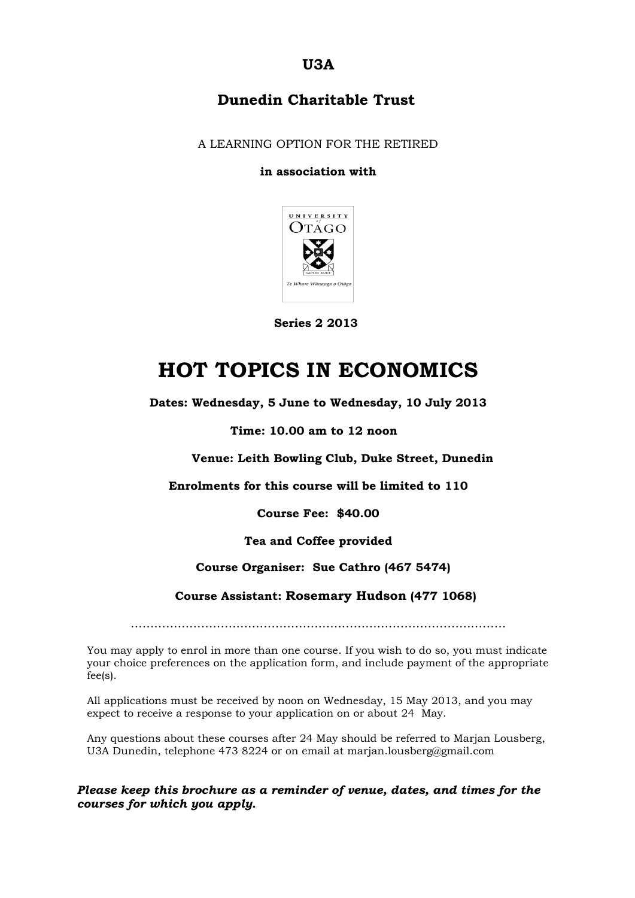**U3A**

### **Dunedin Charitable Trust**

A LEARNING OPTION FOR THE RETIRED

#### **in association with**



 **Series 2 2013**

## **HOT TOPICS IN ECONOMICS**

**Dates: Wednesday, 5 June to Wednesday, 10 July 2013**

#### **Time: 10.00 am to 12 noon**

**Venue: Leith Bowling Club, Duke Street, Dunedin**

**Enrolments for this course will be limited to 110**

**Course Fee: \$40.00**

**Tea and Coffee provided**

#### **Course Organiser: Sue Cathro (467 5474)**

 **Course Assistant: Rosemary Hudson (477 1068)**

……………………………………………………………………………………

You may apply to enrol in more than one course. If you wish to do so, you must indicate your choice preferences on the application form, and include payment of the appropriate fee(s).

All applications must be received by noon on Wednesday, 15 May 2013, and you may expect to receive a response to your application on or about 24 May.

Any questions about these courses after 24 May should be referred to Marjan Lousberg, U3A Dunedin, telephone 473 8224 or on email at marjan.lousberg@gmail.com

#### *Please keep this brochure as a reminder of venue, dates, and times for the courses for which you apply.*